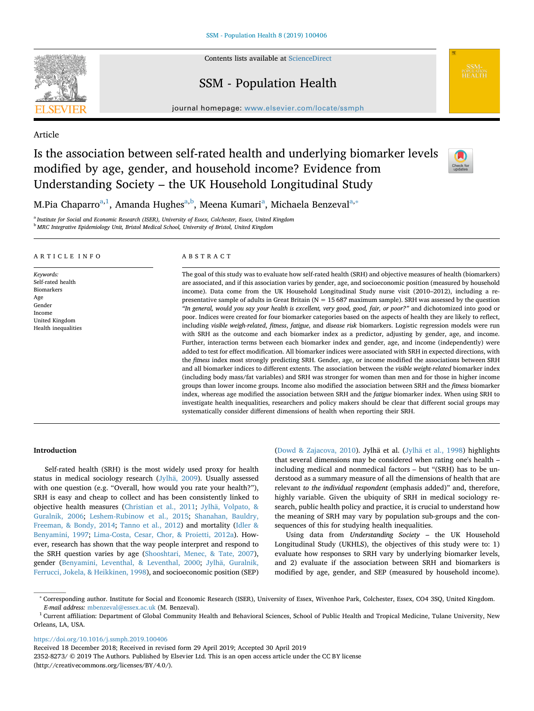

## Contents lists available at [ScienceDirect](http://www.sciencedirect.com/science/journal/23528273)

## SSM - Population Health

journal homepage: [www.elsevier.com/locate/ssmph](https://www.elsevier.com/locate/ssmph)

Article

# Is the association between self-rated health and underlying biomarker levels modified by age, gender, and household income? Evidence from Understanding Society – the UK Household Longitudinal Study



M.Pia Chaparro<sup>a,[1](#page-0-1)</sup>, Amanda Hughes<sup>[a,](#page-0-0)[b](#page-0-2)</sup>, Meen[a](#page-0-0) Kumari<sup>a</sup>, Michaela Benzeval<sup>a,[∗](#page-0-3)</sup>

<span id="page-0-2"></span><span id="page-0-0"></span><sup>a</sup> *Institute for Social and Economic Research (ISER), University of Essex, Colchester, Essex, United Kingdom* <sup>b</sup> *MRC Integrative Epidemiology Unit, Bristol Medical School, University of Bristol, United Kingdom*

### ARTICLE INFO

*Keywords:* Self-rated health Biomarkers Age Gender Income United Kingdom Health inequalities

## ABSTRACT

The goal of this study was to evaluate how self-rated health (SRH) and objective measures of health (biomarkers) are associated, and if this association varies by gender, age, and socioeconomic position (measured by household income). Data come from the UK Household Longitudinal Study nurse visit (2010–2012), including a representative sample of adults in Great Britain ( $N = 15687$  maximum sample). SRH was assessed by the question *"In general, would you say your health is excellent, very good, good, fair, or poor?"* and dichotomized into good or poor. Indices were created for four biomarker categories based on the aspects of health they are likely to reflect, including *visible weigh-related*, *fitness*, *fatigue*, and *disease risk* biomarkers. Logistic regression models were run with SRH as the outcome and each biomarker index as a predictor, adjusting by gender, age, and income. Further, interaction terms between each biomarker index and gender, age, and income (independently) were added to test for effect modification. All biomarker indices were associated with SRH in expected directions, with the *fitness* index most strongly predicting SRH. Gender, age, or income modified the associations between SRH and all biomarker indices to different extents. The association between the *visible weight-related* biomarker index (including body mass/fat variables) and SRH was stronger for women than men and for those in higher income groups than lower income groups. Income also modified the association between SRH and the *fitness* biomarker index, whereas age modified the association between SRH and the *fatigue* biomarker index. When using SRH to investigate health inequalities, researchers and policy makers should be clear that different social groups may systematically consider different dimensions of health when reporting their SRH.

## **Introduction**

Self-rated health (SRH) is the most widely used proxy for health status in medical sociology research [\(Jylhä, 2009](#page-9-0)). Usually assessed with one question (e.g. "Overall, how would you rate your health?"), SRH is easy and cheap to collect and has been consistently linked to objective health measures [\(Christian et al., 2011](#page-9-1); [Jylhä, Volpato, &](#page-9-2) [Guralnik, 2006](#page-9-2); [Leshem-Rubinow et al., 2015;](#page-9-3) [Shanahan, Bauldry,](#page-9-4) [Freeman, & Bondy, 2014](#page-9-4); [Tanno et al., 2012\)](#page-9-5) and mortality [\(Idler &](#page-9-6) [Benyamini, 1997](#page-9-6); [Lima-Costa, Cesar, Chor, & Proietti, 2012a\)](#page-9-7). However, research has shown that the way people interpret and respond to the SRH question varies by age ([Shooshtari, Menec, & Tate, 2007](#page-9-8)), gender [\(Benyamini, Leventhal, & Leventhal, 2000](#page-9-9); [Jylhä, Guralnik,](#page-9-10) [Ferrucci, Jokela, & Heikkinen, 1998](#page-9-10)), and socioeconomic position (SEP)

([Dowd & Zajacova, 2010\)](#page-9-11). Jylhä et al. [\(Jylhä et al., 1998](#page-9-10)) highlights that several dimensions may be considered when rating one's health – including medical and nonmedical factors – but "(SRH) has to be understood as a summary measure of all the dimensions of health that are relevant *to the individual respondent* (emphasis added)" and, therefore, highly variable. Given the ubiquity of SRH in medical sociology research, public health policy and practice, it is crucial to understand how the meaning of SRH may vary by population sub-groups and the consequences of this for studying health inequalities.

Using data from *Understanding Society* – the UK Household Longitudinal Study (UKHLS), the objectives of this study were to: 1) evaluate how responses to SRH vary by underlying biomarker levels, and 2) evaluate if the association between SRH and biomarkers is modified by age, gender, and SEP (measured by household income).

<https://doi.org/10.1016/j.ssmph.2019.100406>

Received 18 December 2018; Received in revised form 29 April 2019; Accepted 30 April 2019 2352-8273/ © 2019 The Authors. Published by Elsevier Ltd. This is an open access article under the CC BY license (http://creativecommons.org/licenses/BY/4.0/).

<span id="page-0-3"></span><sup>∗</sup> Corresponding author. Institute for Social and Economic Research (ISER), University of Essex, Wivenhoe Park, Colchester, Essex, CO4 3SQ, United Kingdom. *E-mail address:* [mbenzeval@essex.ac.uk](mailto:mbenzeval@essex.ac.uk) (M. Benzeval).

<span id="page-0-1"></span><sup>&</sup>lt;sup>1</sup> Current affiliation: Department of Global Community Health and Behavioral Sciences, School of Public Health and Tropical Medicine, Tulane University, New Orleans, LA, USA.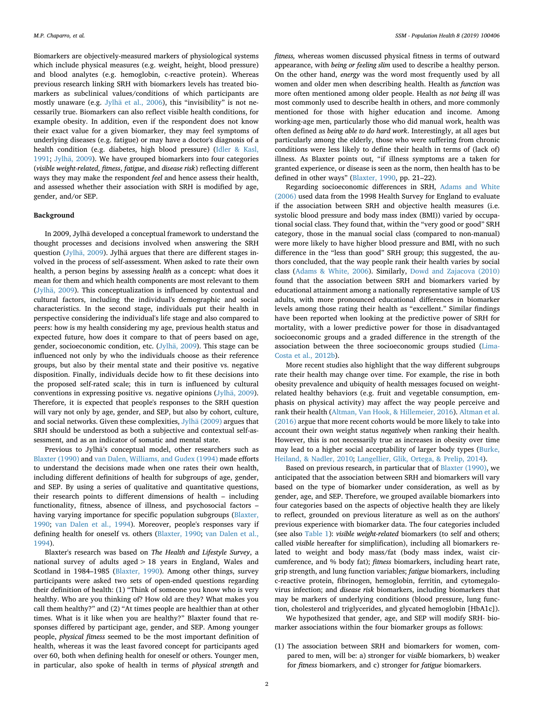Biomarkers are objectively-measured markers of physiological systems which include physical measures (e.g. weight, height, blood pressure) and blood analytes (e.g. hemoglobin, c-reactive protein). Whereas previous research linking SRH with biomarkers levels has treated biomarkers as subclinical values/conditions of which participants are mostly unaware (e.g. [Jylhä et al., 2006](#page-9-2)), this "invisibility" is not necessarily true. Biomarkers can also reflect visible health conditions, for example obesity. In addition, even if the respondent does not know their exact value for a given biomarker, they may feel symptoms of underlying diseases (e.g. fatigue) or may have a doctor's diagnosis of a health condition (e.g. diabetes, high blood pressure) [\(Idler & Kasl,](#page-9-12) [1991;](#page-9-12) [Jylhä, 2009\)](#page-9-0). We have grouped biomarkers into four categories (*visible weight-related*, *fitness*, *fatigue*, and *disease risk*) reflecting different ways they may make the respondent *feel* and hence assess their health, and assessed whether their association with SRH is modified by age, gender, and/or SEP.

#### **Background**

In 2009, Jylhä developed a conceptual framework to understand the thought processes and decisions involved when answering the SRH question [\(Jylhä, 2009](#page-9-0)). Jylhä argues that there are different stages involved in the process of self-assessment. When asked to rate their own health, a person begins by assessing *health* as a concept: what does it mean for them and which health components are most relevant to them ([Jylhä, 2009\)](#page-9-0). This conceptualization is influenced by contextual and cultural factors, including the individual's demographic and social characteristics. In the second stage, individuals put their health in perspective considering the individual's life stage and also compared to peers: how is my health considering my age, previous health status and expected future, how does it compare to that of peers based on age, gender, socioeconomic condition, etc. [\(Jylhä, 2009](#page-9-0)). This stage can be influenced not only by who the individuals choose as their reference groups, but also by their mental state and their positive vs. negative disposition. Finally, individuals decide how to fit these decisions into the proposed self-rated scale; this in turn is influenced by cultural conventions in expressing positive vs. negative opinions ([Jylhä, 2009](#page-9-0)). Therefore, it is expected that people's responses to the SRH question will vary not only by age, gender, and SEP, but also by cohort, culture, and social networks. Given these complexities, [Jylhä \(2009\)](#page-9-0) argues that SRH should be understood as both a subjective and contextual self-assessment, and as an indicator of somatic and mental state.

Previous to Jylhä's conceptual model, other researchers such as [Blaxter \(1990\)](#page-9-13) and [van Dalen, Williams, and Gudex \(1994\)](#page-9-14) made efforts to understand the decisions made when one rates their own health, including different definitions of health for subgroups of age, gender, and SEP. By using a series of qualitative and quantitative questions, their research points to different dimensions of health – including functionality, fitness, absence of illness, and psychosocial factors – having varying importance for specific population subgroups [\(Blaxter,](#page-9-13) [1990;](#page-9-13) [van Dalen et al., 1994\)](#page-9-14). Moreover, people's responses vary if defining health for oneself vs. others ([Blaxter, 1990;](#page-9-13) [van Dalen et al.,](#page-9-14) [1994\)](#page-9-14).

Blaxter's research was based on *The Health and Lifestyle Survey*, a national survey of adults aged > 18 years in England, Wales and Scotland in 1984–1985 ([Blaxter, 1990\)](#page-9-13). Among other things, survey participants were asked two sets of open-ended questions regarding their definition of health: (1) "Think of someone you know who is very healthy. Who are you thinking of? How old are they? What makes you call them healthy?" and (2) "At times people are healthier than at other times. What is it like when you are healthy?" Blaxter found that responses differed by participant age, gender, and SEP. Among younger people, *physical fitness* seemed to be the most important definition of health, whereas it was the least favored concept for participants aged over 60, both when defining health for oneself or others. Younger men, in particular, also spoke of health in terms of *physical strength* and *fitness,* whereas women discussed physical fitness in terms of outward appearance, with *being or feeling slim* used to describe a healthy person. On the other hand, *energy* was the word most frequently used by all women and older men when describing health. Health as *function* was more often mentioned among older people. Health as *not being ill* was most commonly used to describe health in others, and more commonly mentioned for those with higher education and income. Among working-age men, particularly those who did manual work, health was often defined as *being able to do hard work*. Interestingly, at all ages but particularly among the elderly, those who were suffering from chronic conditions were less likely to define their health in terms of (lack of) illness. As Blaxter points out, "if illness symptoms are a taken for granted experience, or disease is seen as the norm, then health has to be defined in other ways" [\(Blaxter, 1990](#page-9-13), pp. 21–22).

Regarding socioeconomic differences in SRH, [Adams and White](#page-8-0) [\(2006\)](#page-8-0) used data from the 1998 Health Survey for England to evaluate if the association between SRH and objective health measures (i.e. systolic blood pressure and body mass index (BMI)) varied by occupational social class. They found that, within the "very good or good" SRH category, those in the manual social class (compared to non-manual) were more likely to have higher blood pressure and BMI, with no such difference in the "less than good" SRH group; this suggested, the authors concluded, that the way people rank their health varies by social class ([Adams & White, 2006](#page-8-0)). Similarly, [Dowd and Zajacova \(2010\)](#page-9-11) found that the association between SRH and biomarkers varied by educational attainment among a nationally representative sample of US adults, with more pronounced educational differences in biomarker levels among those rating their health as "excellent." Similar findings have been reported when looking at the predictive power of SRH for mortality, with a lower predictive power for those in disadvantaged socioeconomic groups and a graded difference in the strength of the association between the three socioeconomic groups studied ([Lima-](#page-9-15)[Costa et al., 2012b\)](#page-9-15).

More recent studies also highlight that the way different subgroups rate their health may change over time. For example, the rise in both obesity prevalence and ubiquity of health messages focused on weightrelated healthy behaviors (e.g. fruit and vegetable consumption, emphasis on physical activity) may affect the way people perceive and rank their health [\(Altman, Van Hook, & Hillemeier, 2016\)](#page-9-16). [Altman et al.](#page-9-16) [\(2016\)](#page-9-16) argue that more recent cohorts would be more likely to take into account their own weight status *negatively* when ranking their health. However, this is not necessarily true as increases in obesity over time may lead to a higher social acceptability of larger body types ([Burke,](#page-9-17) [Heiland, & Nadler, 2010;](#page-9-17) [Langellier, Glik, Ortega, & Prelip, 2014\)](#page-9-18).

Based on previous research, in particular that of [Blaxter \(1990\),](#page-9-13) we anticipated that the association between SRH and biomarkers will vary based on the type of biomarker under consideration, as well as by gender, age, and SEP. Therefore, we grouped available biomarkers into four categories based on the aspects of objective health they are likely to reflect, grounded on previous literature as well as on the authors' previous experience with biomarker data. The four categories included (see also [Table 1\)](#page-2-0): *visible weight-related* biomarkers (to self and others; called *visible* hereafter for simplification), including all biomarkers related to weight and body mass/fat (body mass index, waist circumference, and % body fat); *fitness* biomarkers, including heart rate, grip strength, and lung function variables; *fatigue* biomarkers, including c-reactive protein, fibrinogen, hemoglobin, ferritin, and cytomegalovirus infection; and *disease risk* biomarkers, including biomarkers that may be markers of underlying conditions (blood pressure, lung function, cholesterol and triglycerides, and glycated hemoglobin [HbA1c]).

We hypothesized that gender, age, and SEP will modify SRH- biomarker associations within the four biomarker groups as follows:

(1) The association between SRH and biomarkers for women, compared to men, will be: a) stronger for v*isible* biomarkers, b) weaker for *fitness* biomarkers, and c) stronger for *fatigue* biomarkers.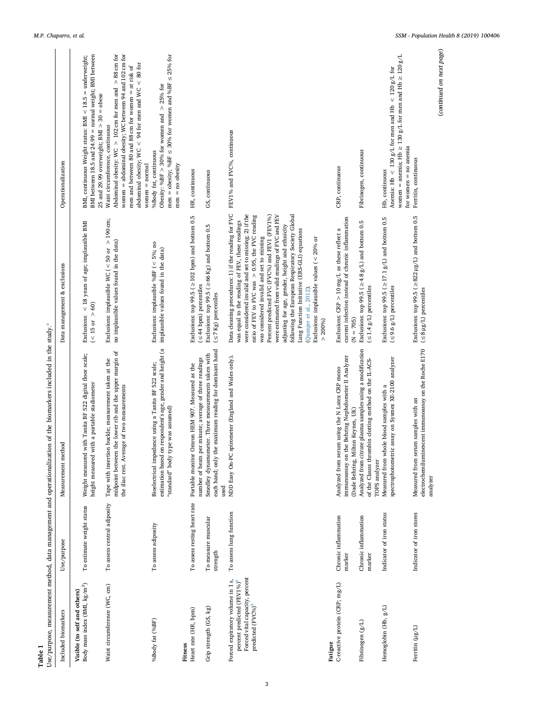<span id="page-2-0"></span>

| Table 1                                                                                                                                       |                                 | Use/purpose, measurement method, data management and operationalization of the biomarkers included in the study. <sup>8</sup>                                                |                                                                                                                                                                                                                                                                                                                                                                                                                                                                                                                                                                                                                  |                                                                                                                                                                                                                                                                                           |
|-----------------------------------------------------------------------------------------------------------------------------------------------|---------------------------------|------------------------------------------------------------------------------------------------------------------------------------------------------------------------------|------------------------------------------------------------------------------------------------------------------------------------------------------------------------------------------------------------------------------------------------------------------------------------------------------------------------------------------------------------------------------------------------------------------------------------------------------------------------------------------------------------------------------------------------------------------------------------------------------------------|-------------------------------------------------------------------------------------------------------------------------------------------------------------------------------------------------------------------------------------------------------------------------------------------|
| Included biomarkers                                                                                                                           | Use/purpose                     | hod<br>Measurement met                                                                                                                                                       | Data management & exclusions                                                                                                                                                                                                                                                                                                                                                                                                                                                                                                                                                                                     | Operationalization                                                                                                                                                                                                                                                                        |
| Body mass index (BMI, $\text{kg}/\text{m}^2)$<br>Visible (to self and others)                                                                 | To estimate weight status       | with Tanita BF 522 digital floor scale;<br>height measured with a portable stadiometer<br>Weight measured                                                                    | Exclusions: $<$ 18 years of age; implausible BMI<br>$(< 15 \text{ or } > 60)$                                                                                                                                                                                                                                                                                                                                                                                                                                                                                                                                    | BMI between 18.5 and 24.99 = normal weight; BMI between<br>BMI, continuous Weight status: BMI < $18.5$ = underweight;<br>25 and 29.99 overweight; BMI $>$ 30 = obese                                                                                                                      |
| Waist circumference (WC, cm)                                                                                                                  | To assess central adiposity     | midpoint between the lower rib and the upper margin of<br>Tape with insertion buckle; measurement taken at the<br>the iliac rest. Average of two measurements                | Exclusions: implausible WC (< 50 or > 190 cm;<br>no implausible values found in the data)                                                                                                                                                                                                                                                                                                                                                                                                                                                                                                                        | women = abdominal obesity; WC between 94 and 102 cm for<br>Abdominal obesity: $WC > 102$ cm for men and $> 88$ cm for<br>abdominal obesity; WC < 94 for men and WC < 80 for<br>men and between 80 and 88 cm for women = at risk of<br>Waist circumference, continuous<br>$women = normal$ |
| %Body fat (%BF)                                                                                                                               | To assess adiposity             | estimation based on respondent's age, gender and height (a<br>Bioelectrical impedance using a Tanita BF 522 scale;<br>"standard" body type was assumed)                      | Exclusions: implausible %BF ( $<$ 5%; no<br>implausible values found in the data)                                                                                                                                                                                                                                                                                                                                                                                                                                                                                                                                | men = obesity; %BF $\leq$ 30% for women and %BF $\leq$ 25% for<br>Obesity: %BF > 30% for women and > 25% for<br>%Body fat, continuous<br>$men = no obesity$                                                                                                                               |
| Heart rate (HR, bpm)<br>Fitness                                                                                                               | To assess resting heart rate    | Portable monitor Omron HEM 907. Measured as the                                                                                                                              | Exclusions: top 99.5 ( $\geq$ 102 bpm) and bottom 0.5                                                                                                                                                                                                                                                                                                                                                                                                                                                                                                                                                            | HR, continuous                                                                                                                                                                                                                                                                            |
| Grip strength (GS, kg)                                                                                                                        | To measure muscular<br>strength | each hand; only the maximum reading for dominant hand<br>Smedley dynamometer. Three measurements taken with<br>number of beats per minute; average of three readings<br>used | Exclusions: top 99.5 ( $\geq$ 66 Kg) and bottom 0.5<br>$($ ≤ 44 bpm) percentiles<br>$( \le 7$ Kg) percentiles                                                                                                                                                                                                                                                                                                                                                                                                                                                                                                    | GS, continuous                                                                                                                                                                                                                                                                            |
| Forced vital capacity, percent<br>Forced expiratory volume in 1 s,<br>percent predicted (FEV1%) <sup>b</sup><br>predicted (FVC%) <sup>b</sup> | To assess lung function         | NDD Easy On-PC spirometer (England and Wales only).                                                                                                                          | Data cleaning procedures: 1) if the reading for FVC<br>were considered invalid and set to missing; 2) if the<br>were estimated from valid readings of FVC and FEV<br>following the European Respiratory Society Global<br>Percent predicted FVC (FVC%) and FEV1 (FEV1%)<br>ratio of FEV to FVC was > 0.95, the FVC reading<br>was equal to the reading of FEV, these readings<br>adjusting for age, gender, height and ethnicity<br>Lung Function Initiative (ERS-GLI) equations<br>was considered invalid and set to missing<br>Exclusions: implausible values ( $<$ 20% or<br>(Quanjer et al., 2012)<br>> 200% | FEV1% and FVC%, continuous                                                                                                                                                                                                                                                                |
| C-reactive protein (CRP; mg/L)<br>Fatigue                                                                                                     | Chronic inflammation<br>marker  | immunoassay on the Behring Nephelometer II Analyzer<br>Analyzed from serum using the N Latex CRP mono                                                                        | current infection instead of chronic inflammation<br>Exclusions: CRP > 10 mg/L as these reflect a                                                                                                                                                                                                                                                                                                                                                                                                                                                                                                                | CRP, continuous                                                                                                                                                                                                                                                                           |
| Fibrinogen (g/L)                                                                                                                              | Chronic inflammation<br>marker  | Analyzed from citrate plasma samples using a modification<br>of the Clauss thrombin clotting method on the IL-ACS-<br>(Dade Behring, Milton Keynes, UK)<br>TOPS analyzer     | Exclusions: top 99.5 ( $\geq$ 4.8 g/L) and bottom 0.5<br>$($ ≤ 1.4 g/L) percentiles<br>$(N = 705)$                                                                                                                                                                                                                                                                                                                                                                                                                                                                                                               | Fibrinogen, continuous                                                                                                                                                                                                                                                                    |
| Hemoglobin (Hb, $g/L$ )                                                                                                                       | Indicator of iron status        | spectrophotometric assay on Sysmex XE-2100 analyzer<br>Measured from whole blood samples with a                                                                              | Exclusions: top 99.5 ( $\geq$ 17.1 g/L) and bottom 0.5<br>$( \leq 9.6 \text{ g/L})$ percentiles                                                                                                                                                                                                                                                                                                                                                                                                                                                                                                                  | women = anemia; Hb $\geq 130$ g/L for men and Hb $\geq 120$ g/L<br>Anemia: Hb < 130 g/L for men and Hb < 120 g/L for<br>Hb, continuous                                                                                                                                                    |
| Ferritin ( $\mu$ g/L)                                                                                                                         | Indicator of iron stores        | electrochemiluminescent immunoassay on the Roche E170<br>Measured from serum samples with an<br>analyzer                                                                     | Exclusions: top 99.5 ( $\geq$ 822 $\mu$ g/L) and bottom 0.5<br>$($ $\leq$ 8 $\mu$ g/L) percentiles                                                                                                                                                                                                                                                                                                                                                                                                                                                                                                               | for women $=$ no anemia<br>Ferritin, continuous                                                                                                                                                                                                                                           |
|                                                                                                                                               |                                 |                                                                                                                                                                              |                                                                                                                                                                                                                                                                                                                                                                                                                                                                                                                                                                                                                  | (continued on next page)                                                                                                                                                                                                                                                                  |

3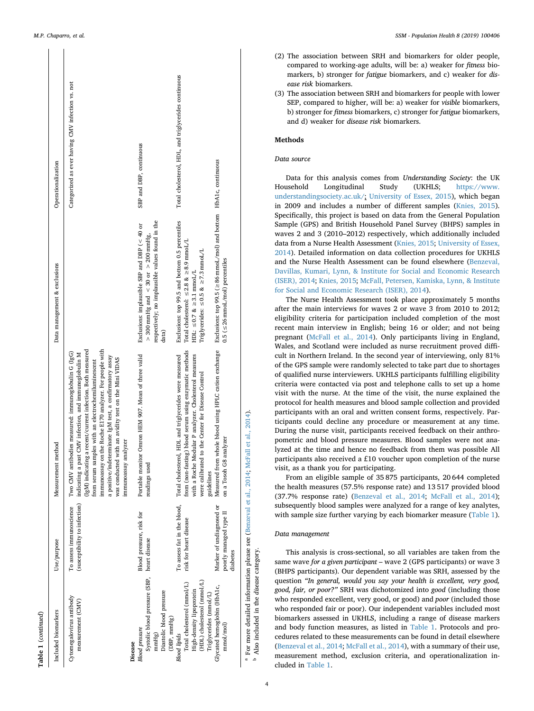| Included biomarkers                                                                                                                            | Use/purpose                                                    | Measurement metho                                                                                                                                                                                                                                                                                                                                                                                                                         | Data management & exclusions                                                                                                                                                                 | Operationalization                                   |
|------------------------------------------------------------------------------------------------------------------------------------------------|----------------------------------------------------------------|-------------------------------------------------------------------------------------------------------------------------------------------------------------------------------------------------------------------------------------------------------------------------------------------------------------------------------------------------------------------------------------------------------------------------------------------|----------------------------------------------------------------------------------------------------------------------------------------------------------------------------------------------|------------------------------------------------------|
| Cytomegalovirus antibody<br>measurement (CMV)<br>Disease                                                                                       | (susceptibility to infection)<br>To assess immunoscience       | (IgM) indicating a recent/current infection. Both measured<br>immunoassay on the Roche E170 analyzer. For people with<br>Two CMV antibodies measured: immunoglobulin G (1gG)<br>indicating a past CMV infection, and immunoglobulin M<br>a positive/indeterminate IgM test, a confirmatory assay<br>was conducted with an avidity test on the Mini VIDAS<br>with an electrochemiluminescent<br>immunoassay analyzer<br>from serum samples |                                                                                                                                                                                              | Categorized as ever having CMV infection vs. not     |
| Systolic blood pressure (SBP, heart disease<br>Diastolic blood pressure<br>$(\mathbf{DBP},\, \mathbf{mmHg})$<br><b>Blood</b> pressure<br>mmHg) | Blood pressure, risk for                                       | Portable monitor Omron HEM 907. Mean of three valid<br>readings used                                                                                                                                                                                                                                                                                                                                                                      | respectively; no implausible values found in the<br>Exclusions: implausible SBP and DBP $(< 40$ or<br>$>$ 300 mmHg and < 30 or > 200 mmHg,<br>data)                                          | SBP and DBP, continuous                              |
| (HDL) cholesterol (mmol/L)<br>Total cholesterol (mmol/L)<br>High-density lipoprotein<br>Triglycerides (mmol/L)<br><b>Blood</b> lipids          | To assess fat in the blood,<br>risk for heart disease          | from (non-fasting) blood serum using enzymatic methods<br>Total cholesterol, HDL and triglycerides were measured<br>with a Roche Modular P analyzer. Cholesterol measures<br>were calibrated to the Center for Disease Control<br>guidelines                                                                                                                                                                                              | Exclusions: top 99.5 and bottom 0.5 percentiles<br>Total cholesterol: $\leq 2.8$ & $\geq 8.9$ mmoL/L<br>Triglycerides: $\leq 0.5$ & $\geq 7.3$ mmoL/L<br>HDL: $\leq 0.7$ & $\geq 3.1$ mmoL/L | Total cholesterol, HDL, and triglycerides continuous |
| Glycated hemoglobin (HbA1c,<br>mmol/mol)                                                                                                       | Marker of undiagnosed or<br>poorly managed type II<br>diabetes | Measured from whole blood using HPLC cation exchange<br>on a Tosoh G8 analyzer                                                                                                                                                                                                                                                                                                                                                            | Exclusions: top 99.5 ( $\geq$ 86 mmoL/mol) and bottom HbA1c, continuous<br>$0.5$ ( $\leq$ 26 mmoL/mol) percentiles                                                                           |                                                      |

- <span id="page-3-1"></span><span id="page-3-0"></span>(2) The association between SRH and biomarkers for older people, compared to working-age adults, will be: a) weaker for *fitness* biomarkers, b) stronger for *fatigue* biomarkers, and c) weaker for *disease risk* biomarkers.
- (3) The association between SRH and biomarkers for people with lower SEP, compared to higher, will be: a) weaker for *visible* biomarkers, b) stronger for *fitness* biomarkers, c) stronger for *fatigue* biomarkers, and d) weaker for *disease risk* biomarkers.

## **Methods**

## *Data source*

Data for this analysis comes from *Understanding Society*: the UK Household Longitudinal Study (UKHLS; [https://www.](https://www.understandingsociety.ac.uk/) [understandingsociety.ac.uk/;](https://www.understandingsociety.ac.uk/) [University of Essex, 2015\)](#page-9-20), which began in 2009 and includes a number of different samples [\(Knies, 2015](#page-9-21)). Specifically, this project is based on data from the General Population Sample (GPS) and British Household Panel Survey (BHPS) samples in waves 2 and 3 (2010–2012) respectively, which additionally included data from a Nurse Health Assessment ([Knies, 2015](#page-9-21); [University of Essex,](#page-9-22) [2014\)](#page-9-22). Detailed information on data collection procedures for UKHLS and the Nurse Health Assessment can be found elsewhere ([Benzeval,](#page-9-23) [Davillas, Kumari, Lynn, & Institute for Social and Economic Research](#page-9-23) [\(ISER\), 2014;](#page-9-23) [Knies, 2015](#page-9-21); [McFall, Petersen, Kamiska, Lynn, & Institute](#page-9-24) [for Social and Economic Research \(ISER\), 2014\)](#page-9-24).

The Nurse Health Assessment took place approximately 5 months after the main interviews for waves 2 or wave 3 from 2010 to 2012; eligibility criteria for participation included completion of the most recent main interview in English; being 16 or older; and not being pregnant ([McFall et al., 2014\)](#page-9-24). Only participants living in England, Wales, and Scotland were included as nurse recruitment proved difficult in Northern Ireland. In the second year of interviewing, only 81% of the GPS sample were randomly selected to take part due to shortages of qualified nurse interviewers. UKHLS participants fulfilling eligibility criteria were contacted via post and telephone calls to set up a home visit with the nurse. At the time of the visit, the nurse explained the protocol for health measures and blood sample collection and provided participants with an oral and written consent forms, respectively. Participants could decline any procedure or measurement at any time. During the nurse visit, participants received feedback on their anthropometric and blood pressure measures. Blood samples were not analyzed at the time and hence no feedback from them was possible All participants also received a £10 voucher upon completion of the nurse visit, as a thank you for participating.

From an eligible sample of 35 875 participants, 20 644 completed the health measures (57.5% response rate) and 13 517 provided blood (37.7% response rate) ([Benzeval et al., 2014](#page-9-23); [McFall et al., 2014](#page-9-24)); subsequently blood samples were analyzed for a range of key analytes, with sample size further varying by each biomarker measure [\(Table 1](#page-2-0)).

## *Data management*

This analysis is cross-sectional, so all variables are taken from the same wave *for a given participant* – wave 2 (GPS participants) or wave 3 (BHPS participants). Our dependent variable was SRH, assessed by the question *"In general, would you say your health is excellent, very good, good, fair, or poor?"* SRH was dichotomized into *good* (including those who responded excellent, very good, or good) and *poor* (included those who responded fair or poor). Our independent variables included most biomarkers assessed in UKHLS, including a range of disease markers and body function measures, as listed in [Table 1](#page-2-0). Protocols and procedures related to these measurements can be found in detail elsewhere ([Benzeval et al., 2014](#page-9-23); [McFall et al., 2014](#page-9-24)), with a summary of their use, measurement method, exclusion criteria, and operationalization included in [Table 1](#page-2-0).

a

 $\Delta$ 

For more detailed information please see ([Benzeval](#page-9-23) et al., 2014; [McFall](#page-9-24) et al., 2014). b Also included in the *disease* category.

For more detailed information please see (Benzeval

Also included in the disease category.

et al., 2014; McFall et al., 2014).

**Table 1**

(*continued*)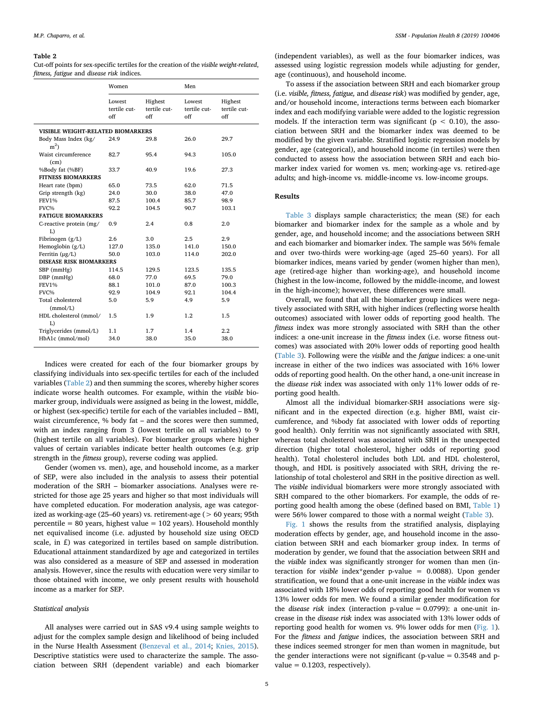#### <span id="page-4-0"></span>**Table 2**

Cut-off points for sex-specific tertiles for the creation of the *visible weight-related*, *fitness, fatigue* and *disease risk* indices.

|                                              | Women                                 |                                        | Men                           |                                        |
|----------------------------------------------|---------------------------------------|----------------------------------------|-------------------------------|----------------------------------------|
|                                              | Lowest<br>tertile cut-<br>$\alpha$ ff | Highest<br>tertile cut-<br>$\alpha$ ff | Lowest<br>tertile cut-<br>off | Highest<br>tertile cut-<br>$\alpha$ ff |
| VISIBLE WEIGHT-RELATED BIOMARKERS            |                                       |                                        |                               |                                        |
| Body Mass Index (kg/<br>m <sup>2</sup>       | 24.9                                  | 29.8                                   | 26.0                          | 29.7                                   |
| Waist circumference<br>(cm)                  | 82.7                                  | 95.4                                   | 94.3                          | 105.0                                  |
| %Body fat (%BF)<br><b>FITNESS BIOMARKERS</b> | 33.7                                  | 40.9                                   | 19.6                          | 27.3                                   |
| Heart rate (bpm)                             | 65.0                                  | 73.5                                   | 62.0                          | 71.5                                   |
| Grip strength (kg)                           | 24.0                                  | 30.0                                   | 38.0                          | 47.0                                   |
| <b>FEV1%</b>                                 | 87.5                                  | 100.4                                  | 85.7                          | 98.9                                   |
| FVC%                                         | 92.2                                  | 104.5                                  | 90.7                          | 103.1                                  |
| <b>FATIGUE BIOMARKERS</b>                    |                                       |                                        |                               |                                        |
| C-reactive protein (mg/<br>L)                | 0.9                                   | 2.4                                    | 0.8                           | 2.0                                    |
| Fibrinogen $(g/L)$                           | 2.6                                   | 3.0                                    | 2.5                           | 2.9                                    |
| Hemoglobin (g/L)                             | 127.0                                 | 135.0                                  | 141.0                         | 150.0                                  |
| Ferritin (µg/L)                              | 50.0                                  | 103.0                                  | 114.0                         | 202.0                                  |
| <b>DISEASE RISK BIOMARKERS</b>               |                                       |                                        |                               |                                        |
| SBP (mmHg)                                   | 114.5                                 | 129.5                                  | 123.5                         | 135.5                                  |
| DBP (mmHg)                                   | 68.0                                  | 77.0                                   | 69.5                          | 79.0                                   |
| <b>FEV1%</b>                                 | 88.1                                  | 101.0                                  | 87.0                          | 100.3                                  |
| FVC%                                         | 92.9                                  | 104.9                                  | 92.1                          | 104.4                                  |
| Total cholesterol<br>(mmol/L)                | 5.0                                   | 5.9                                    | 4.9                           | 5.9                                    |
| HDL cholesterol (mmol/<br>L)                 | 1.5                                   | 1.9                                    | 1.2                           | 1.5                                    |
| Triglycerides (mmol/L)                       | 1.1                                   | 1.7                                    | 1.4                           | 2.2                                    |
| HbA1c (mmol/mol)                             | 34.0                                  | 38.0                                   | 35.0                          | 38.0                                   |

Indices were created for each of the four biomarker groups by classifying individuals into sex-specific tertiles for each of the included variables [\(Table 2](#page-4-0)) and then summing the scores, whereby higher scores indicate worse health outcomes. For example, within the *visible* biomarker group, individuals were assigned as being in the lowest, middle, or highest (sex-specific) tertile for each of the variables included – BMI, waist circumference, % body fat – and the scores were then summed, with an index ranging from 3 (lowest tertile on all variables) to 9 (highest tertile on all variables). For biomarker groups where higher values of certain variables indicate better health outcomes (e.g. grip strength in the *fitness* group), reverse coding was applied.

Gender (women vs. men), age, and household income, as a marker of SEP, were also included in the analysis to assess their potential moderation of the SRH – biomarker associations. Analyses were restricted for those age 25 years and higher so that most individuals will have completed education. For moderation analysis, age was categorized as working-age (25–60 years) vs. retirement-age ( $> 60$  years; 95th percentile = 80 years, highest value =  $102$  years). Household monthly net equivalised income (i.e. adjusted by household size using OECD scale, in £) was categorized in tertiles based on sample distribution. Educational attainment standardized by age and categorized in tertiles was also considered as a measure of SEP and assessed in moderation analysis. However, since the results with education were very similar to those obtained with income, we only present results with household income as a marker for SEP.

## *Statistical analysis*

All analyses were carried out in SAS v9.4 using sample weights to adjust for the complex sample design and likelihood of being included in the Nurse Health Assessment ([Benzeval et al., 2014](#page-9-23); [Knies, 2015](#page-9-21)). Descriptive statistics were used to characterize the sample. The association between SRH (dependent variable) and each biomarker

(independent variables), as well as the four biomarker indices, was assessed using logistic regression models while adjusting for gender, age (continuous), and household income.

To assess if the association between SRH and each biomarker group (i.e. *visible, fitness, fatigue,* and *disease risk*) was modified by gender, age, and/or household income, interactions terms between each biomarker index and each modifying variable were added to the logistic regression models. If the interaction term was significant ( $p < 0.10$ ), the association between SRH and the biomarker index was deemed to be modified by the given variable. Stratified logistic regression models by gender, age (categorical), and household income (in tertiles) were then conducted to assess how the association between SRH and each biomarker index varied for women vs. men; working-age vs. retired-age adults; and high-income vs. middle-income vs. low-income groups.

## **Results**

[Table 3](#page-5-0) displays sample characteristics; the mean (SE) for each biomarker and biomarker index for the sample as a whole and by gender, age, and household income; and the associations between SRH and each biomarker and biomarker index. The sample was 56% female and over two-thirds were working-age (aged 25–60 years). For all biomarker indices, means varied by gender (women higher than men), age (retired-age higher than working-age), and household income (highest in the low-income, followed by the middle-income, and lowest in the high-income); however, these differences were small.

Overall, we found that all the biomarker group indices were negatively associated with SRH, with higher indices (reflecting worse health outcomes) associated with lower odds of reporting good health. The *fitness* index was more strongly associated with SRH than the other indices: a one-unit increase in the *fitness* index (i.e. worse fitness outcomes) was associated with 20% lower odds of reporting good health ([Table 3](#page-5-0)). Following were the *visible* and the *fatigue* indices: a one-unit increase in either of the two indices was associated with 16% lower odds of reporting good health. On the other hand, a one-unit increase in the *disease risk* index was associated with only 11% lower odds of reporting good health.

Almost all the individual biomarker-SRH associations were significant and in the expected direction (e.g. higher BMI, waist circumference, and %body fat associated with lower odds of reporting good health). Only ferritin was not significantly associated with SRH, whereas total cholesterol was associated with SRH in the unexpected direction (higher total cholesterol, higher odds of reporting good health). Total cholesterol includes both LDL and HDL cholesterol, though, and HDL is positively associated with SRH, driving the relationship of total cholesterol and SRH in the positive direction as well. The *visible* individual biomarkers were more strongly associated with SRH compared to the other biomarkers. For example, the odds of reporting good health among the obese (defined based on BMI, [Table 1\)](#page-2-0) were 56% lower compared to those with a normal weight ([Table 3\)](#page-5-0).

[Fig. 1](#page-8-1) shows the results from the stratified analysis, displaying moderation effects by gender, age, and household income in the association between SRH and each biomarker group index. In terms of moderation by gender, we found that the association between SRH and the *visible* index was significantly stronger for women than men (interaction for *visible* index\*gender p-value = 0.0088). Upon gender stratification, we found that a one-unit increase in the *visible* index was associated with 18% lower odds of reporting good health for women vs 13% lower odds for men. We found a similar gender modification for the *disease risk* index (interaction p-value = 0.0799): a one-unit increase in the *disease risk* index was associated with 13% lower odds of reporting good health for women vs. 9% lower odds for men ([Fig. 1](#page-8-1)). For the *fitness* and *fatigue* indices, the association between SRH and these indices seemed stronger for men than women in magnitude, but the gender interactions were not significant (p-value  $= 0.3548$  and pvalue  $= 0.1203$ , respectively).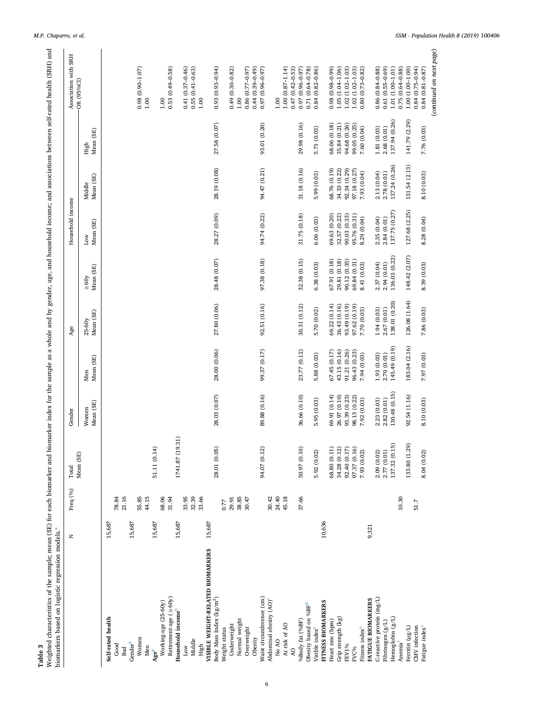| ຕາ      |   |
|---------|---|
| ω       |   |
| è       | l |
| J       | Ï |
| n.<br>۴ | ì |
|         | ú |
|         |   |

<span id="page-5-0"></span>Weighted characteristics of the sample; mean (SE) for each biomarker and biomarker index for the sample as a whole and by gender, age, and household income; and associations between self-rated health (SRH) and biomarkers b Weighted characteristics of the sample; mean (SE) for each biomarker and biomarker index for the sample as a whole and by gender, age, and household income; and associations between self-rated health (SRH) and biom[a](#page-6-0)rkers based on logistic regression models.<sup>a</sup>

|                                     | z      | Freq (%)       | Mean (SE)<br>Total | Gender             |                  | Age                 |                         | Household income |                     |                            | Association with SRH<br>OR (95%CI)                                                      |
|-------------------------------------|--------|----------------|--------------------|--------------------|------------------|---------------------|-------------------------|------------------|---------------------|----------------------------|-----------------------------------------------------------------------------------------|
|                                     |        |                |                    | Mean (SE)<br>Women | Mean (SE)<br>Men | Mean (SE)<br>25-60y | Mean (SE)<br>$\geq 60y$ | Mean (SE)<br>Low | Mean (SE)<br>Middle | Mean (SE)<br>$_{\rm High}$ |                                                                                         |
| Self-rated health                   | 15,687 |                |                    |                    |                  |                     |                         |                  |                     |                            |                                                                                         |
| Good<br>Bad                         |        | 21.16<br>78.84 |                    |                    |                  |                     |                         |                  |                     |                            |                                                                                         |
| Gender <sup>b</sup>                 | 15,687 |                |                    |                    |                  |                     |                         |                  |                     |                            |                                                                                         |
| Women                               |        | 55.85          |                    |                    |                  |                     |                         |                  |                     |                            | 0.98 (0.90-1.07)                                                                        |
| Men                                 |        | 44.15          |                    |                    |                  |                     |                         |                  |                     |                            | $1.00\,$                                                                                |
| Age <sup>b</sup>                    | 15,687 |                | 51.11 (0.14)       |                    |                  |                     |                         |                  |                     |                            |                                                                                         |
| Working-age (25-60y)                |        | 68.06          |                    |                    |                  |                     |                         |                  |                     |                            | 0.1                                                                                     |
| Retirement-age $( \ge 60y)$         |        | 31.94          |                    |                    |                  |                     |                         |                  |                     |                            | $0.53(0.49 - 0.58)$                                                                     |
| Household income <sup>b</sup>       | 15,687 |                | 31)<br>1741.87 (19 |                    |                  |                     |                         |                  |                     |                            |                                                                                         |
| Low                                 |        | 33.95          |                    |                    |                  |                     |                         |                  |                     |                            | $\begin{array}{c} 0.41 \ (0.37\hbox{--}0.46) \\ 0.55 \ (0.41\hbox{--}0.63) \end{array}$ |
| Middle                              |        | 32.39          |                    |                    |                  |                     |                         |                  |                     |                            |                                                                                         |
| High                                |        | 33.66          |                    |                    |                  |                     |                         |                  |                     |                            | 1.00                                                                                    |
| VISIBLE WEIGHT-RELATED BIOMARKERS   | 15,687 |                |                    |                    |                  |                     |                         |                  |                     |                            |                                                                                         |
| Body Mass Index ( $\text{kg/m}^2$ ) |        |                | 28.01 (0.05)       | 28.03 (0.07)       | 28.00 (0.06)     | 27.80 (0.06)        | 28.48 (0.07)            | 28.27 (0.09)     | 28.19 (0.08)        | 27.58 (0.07)               | $0.93(0.93-0.94)$                                                                       |
| Weight status                       |        | 0.77           |                    |                    |                  |                     |                         |                  |                     |                            |                                                                                         |
| Underweight                         |        | 29.91          |                    |                    |                  |                     |                         |                  |                     |                            | $0.49(0.30 - 0.82)$                                                                     |
| Normal weight                       |        | 38.85<br>30.47 |                    |                    |                  |                     |                         |                  |                     |                            | 1.00                                                                                    |
| Overweight                          |        |                |                    |                    |                  |                     |                         |                  |                     |                            | 0.86 (0.77-0.97)                                                                        |
| Obesity                             |        |                |                    |                    |                  |                     |                         |                  |                     |                            | $0.44(0.39 - 0.49)$                                                                     |
| Waist circumference (cm)            |        |                | 94.07 (0.12)       | 89.88 (0.16)       | 99.37 (0.17)     | 92.51 (0.16)        | 97.38 (0.18)            | 94.74 (0.22)     | 94.47 (0.21)        | 93.01 (0.20)               | 0.97 (0.96-0.97)                                                                        |
| Abdominal obesity (AO) <sup>c</sup> |        | 30.42          |                    |                    |                  |                     |                         |                  |                     |                            |                                                                                         |
| No AO                               |        | 24.40          |                    |                    |                  |                     |                         |                  |                     |                            | 1.00                                                                                    |
| At risk of AO                       |        | 45.18          |                    |                    |                  |                     |                         |                  |                     |                            | $1.00(0.87 - 1.14)$                                                                     |
| $\overline{Q}$                      |        |                |                    |                    |                  |                     |                         |                  |                     |                            | $0.47(0.42 - 0.53)$                                                                     |
| %Body fat (%BF)                     |        | 37.66          | 30.97 (0.10)       | 36.66 (0.10)       | 23.77 (0.12)     | 30.31 (0.12)        | 32.38 (0.15)            | 31.75 (0.18)     | 31.18 (0.16)        | 29.98 (0.16)               | 0.97 (0.96-0.97)                                                                        |
| Obesity based on %BF <sup>d</sup>   |        |                |                    |                    |                  |                     |                         |                  |                     |                            | $(0.64 - 0.78)$<br>0.71                                                                 |
| Visible index <sup>e</sup>          |        |                | 5.92 (0.02)        | 5.95 (0.03)        | 5.88 (0.03)      | 5.70 (0.02)         | 6.38(0.03)              | 6.06(0.03)       | 5.99 (0.03)         | 5.71 (0.03)                | $(0.82 - 0.86)$<br>0.84                                                                 |
| FITNESS BIOMARKERS                  | 10,636 |                |                    |                    |                  |                     |                         |                  |                     |                            |                                                                                         |
| Heart rate (bpm)                    |        |                | 68.80 (0.11)       | 69.91 (0.14)       | 67.45 (0.17)     | 69.22 (0.14)        | 67.91 (0.18)            | 69.63 (0.20)     | 68.76 (0.19)        | 68.06 (0.18)               | $(66.0 - 86.0)$<br>0.98                                                                 |
| Grip strength (kg)                  |        |                | 34.28 (0.12)       | 26.97 (0.10)       | 43.15 (0.16)     | 36.43 (0.16)        | 29.81 (0.18)            | 32.57 (0.22)     | 34.33 (0.22)        | 35.84 (0.21)               | $1.05(1.04 - 1.06)$                                                                     |
| FEV1%                               |        |                | 92.40 (0.17)       | 93.39 (0.23)       | 91.21 (0.26)     | 93.49 (0.19)        | 90.12 (0.35)            | 90.03 (0.33)     | 92.34 (0.29)        | 94.68 (0.26)               | $1.02(1.02 - 1.03)$                                                                     |
| FVC%                                |        |                | 97.37 (0.16)       | 98.13 (0.22)       | 96.43 (0.23)     | 97.62 (0.19)        | 69.84 (0.31)            | 95.76 (0.31)     | 97.18 (0.27)        | 99.05 (0.25)               | $1.02(1.02 - 1.03)$                                                                     |
| Fitness index <sup>e</sup>          |        |                | 7.93 (0.02)        | 7.92 (0.03)        | 7.94 (0.03)      | 7.70 (0.03)         | 8.41 (0.03)             | 8.29 (0.04)      | 7.93 (0.04)         | 7.60 (0.04)                | 0.80 (0.73-0.82)                                                                        |
| FATIGUE BIOMARKERS                  | 9,321  |                |                    |                    |                  |                     |                         |                  |                     |                            |                                                                                         |
| C-reactive protein (mg/L)           |        |                | 2.09 (0.02)        | 2.23 (0.03)        | 1.93 (0.03)      | 1.94 (0.03)         | 2.37 (0.04)             | 2.35 (0.04)      | 2.13 (0.04)         | 1.81 (0.03)                | $0.86(0.84 - 0.88)$                                                                     |
| Fibrinogen (g/L)                    |        |                | 2.77 (0.01)        | 2.82(0.01)         | 2.70(0.01)       | 2.67 (0.01)         | 2.94 (0.01)             | 2.84 (0.01)      | 2.78 (0.01)         | 2.68 (0.01)                | $0.61(0.55-0.69)$                                                                       |
| Hemoglobin (g/L)                    |        |                | 137.32 (0.15)      | 130.48 (0.15)      | 145.49 (0.19)    | 138.01 (0.20)       | 136.03 (0.22)           | 137.75 (0.27     | 137.24 (0.26)       | 137.94 (0.26)              | 1.01 (1.00-1.01)                                                                        |
| Anemia <sup>f</sup>                 |        | 10.30          |                    |                    |                  |                     |                         |                  |                     |                            | 0.75 (0.64-0.88)                                                                        |
| Ferritin (µg/L)                     |        |                | 133.80 (1.29)      | 92.54 (1.16)       | 183.04 (2.16)    | 126.08 (1.64)       | 148.42 (2.07)           | 127.68 (2.25)    | 131.54 (2.13)       | 141.79 (2.29)              | 1.00 (1.00-1.00)                                                                        |
| CMV infection                       |        | 51.7           |                    |                    |                  |                     |                         |                  |                     |                            | $0.84(0.75-0.94)$                                                                       |
| Fatigue index <sup>e</sup>          |        |                | 8.04 (0.02)        | 8.10 (0.03)        | 7.97 (0.03)      | 7.86 (0.03)         | 8.39 (0.03)             | 8.28 (0.04)      | 8.10 (0.03)         | 7.76 (0.03)                | $0.84(0.81 - 0.87)$                                                                     |

(*continued on next page*)

(continued on next page)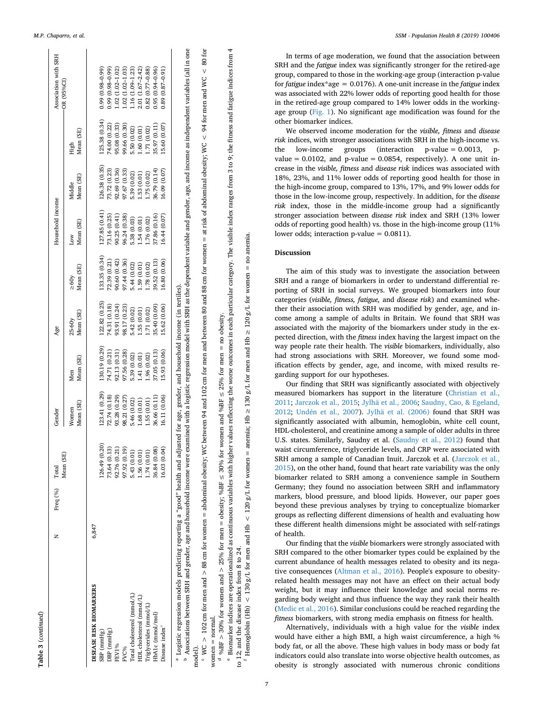| ¢      |
|--------|
| c      |
|        |
|        |
|        |
| י<br>٦ |
|        |

|                                                                                                                                  |       | Freq (%) | Total         | Gender             |                  | Age                 |                                   | Household income       |                      |                   | Association with SRH |
|----------------------------------------------------------------------------------------------------------------------------------|-------|----------|---------------|--------------------|------------------|---------------------|-----------------------------------|------------------------|----------------------|-------------------|----------------------|
|                                                                                                                                  |       |          | Mean (SE)     | Mean (SE)<br>Women | Mean (SE)<br>Men | Mean (SE)<br>25-60y | Mean (SE)<br>$\times$ 90 $\times$ | Mean (SE)<br><b>NO</b> | Mean (SE)<br>Viiddle | Mean (SE)<br>High | $-OR$ (95%CI)        |
| DISEASE RISK BIOMARKERS                                                                                                          | 6.847 |          |               |                    |                  |                     |                                   |                        |                      |                   |                      |
| SBP (mmHg)                                                                                                                       |       |          | 126.49 (0.20) | (0.29)             | 130.19 (0.29)    | 122.82 (0.25)       | 133.35(0.34)                      | 127.85 (0.41)          | 126.38 (0.35)        | 125.38 (0.34)     | $(6.0 - 86.0)$ 66    |
| DBP (mmHg)                                                                                                                       |       |          | 73.64 (0.13)  | 72.74 (0.18)       | 74.71 (0.21)     | 74.31 (0.18)        | 72.39 (0.21)                      | 73.16 (0.25)           | 73.72 (0.23)         | 74.00 (0.22)      | 0.99 (0.98-0.99)     |
| FEV1%                                                                                                                            |       |          | 92.76 (0.21)  | 93.28 (0.29)       | 92.13 (0.31)     | 93.91 (0.24)        | 90.60 (0.42)                      | 90.25 (0.41)           | 92.69 (0.36)         | 95.08 (0.33)      | $1.02(1.02 - 1.02)$  |
| FVC%                                                                                                                             |       |          | 97.92 (0.19)  | 98.21 (0.27)       | 97.56 (0.28)     | 98.17 (0.23)        | 97.44 (0.36)                      | 36.24 (0.38)           | 97.67 (0.33)         | 99.66 (0.30)      | $1.02(1.02 - 1.03)$  |
| Total cholesterol (mmol/L)                                                                                                       |       |          | 5.43 (0.01)   | 5.46 (0.02)        | 5.39 (0.02)      | 5.42 (0.02)         | .44(0.02)                         | 5.38 (0.03)            | 5.39 (0.02)          | 5.50 (0.02)       | 1.16 (1.09-1.23)     |
| HDL cholesterol (mmol/L)                                                                                                         |       |          | 1.56 (0.01)   | 1.68 (0.01)        | 4.41(0.01)       | .55(0.01)           | (.59(0.01)                        | 54 (0.01)              | 1.53(0.01)           | 1.60(0.01)        | 2.01 (1.67-2.42)     |
| Triglycerides (mmol/L)                                                                                                           |       |          | 1.74(0.01)    | (.55(0.01)         | 1.96(0.02)       | 1.71 (0.02)         | 1.78 (0.02)                       | .76 (0.02)             | .75 (0.02)           | 1.71 (0.02)       | $0.82(0.77 - 0.88)$  |
| HbA1c (mmol/mol)                                                                                                                 |       |          | 36.84 (0.08)  | 36.66 (0.11)       | 37.05 (0.13)     | 35.40 (0.09)        | 39.52 (0.13)                      | 87.86 (0.16)           | 36.79 (0.14)         | 35.97 (0.11)      | 0.95 (0.94-0.96)     |
| Disease index <sup>e</sup>                                                                                                       |       |          | 16.03 (0.04)  | (6.0.06)           | 15.93 (0.06)     | 15.62 (0.06)        | 16.80 (0.06)                      | 16.44 (0.07)           | 16.09 (0.07)         | 15.60 (0.07)      | $0.89(0.87 - 0.91)$  |
| a Logistic regression models predicting reporting a "good" health and adjusted for age gender and household income (in tertiles) |       |          |               |                    |                  |                     |                                   |                        |                      |                   |                      |

<span id="page-6-1"></span><span id="page-6-0"></span><sup>b</sup> Associations between SRH and gender, age and household income were examined with a logistic regression model with SRH as the dependent variable and gender, age, and income as independent variables (all in one <sup>a</sup> Logistic regression models predicting reporting a "good" health and adjusted for age, gender, and household income (in tertiles).<br><sup>b</sup> Associations between SRH and gender, age and household income were examined with a l model).

<span id="page-6-2"></span>model).<br>"WC > 102 cm for men and > 88 cm for women = abdominal obesity; WC between 94 and 102 cm for men and between 80 and 88 cm for women = at risk of abdominal obesity; WC < 94 for men and WC < 80 for  $< 94$  for men and WC  $< 80$  for  $\degree$  WC  $>$  102 cm for men and > 88 cm for women = abdominal obesity; WC between 94 and 102 cm for men and between 80 and 88 cm for women = at risk of abdominal obesity; WC  $w$ omen = normal.

for women and %BF  $\leq$  25% for men = no obesity. %BF > 30% for women and > 25% for men = obesity: %BF  $\leq$  30%

<span id="page-6-4"></span><span id="page-6-3"></span>° Biomarker indices are operationalized as continuous variables with higher values reflecting the worse outcomes in each particular category. The visible index ranges from 3 to 9; the fitness and fatigue indices from 4 women = normal.<br><sup>4</sup> %BF > 30% for women and > 25% for men = obesity; %BF ≤ 30% for women and %BF ≤ 25% for men = no obesity.<br>° Biomarker indices are operationalized as continuous variables with higher values reflecting th to 12; and the disease index from 8 to 24.

to 12; and the disease index from 8 to 24.<br><sup>f</sup> Hemoglobin (Hb) < 130 g/L for men and Hb < 120 g/L for women = anemia; Hb ≥ 130 g/L for men and Hb ≥ 120 g/L for women = no anemia. <sup>f</sup> Hemoglobin (Hb) < 130 g/L for men and Hb < 120 g/L for women = anemia; Hb ≥ 130 g/L for men and Hb ≥ 120 g/L for women = no anemia.

<span id="page-6-5"></span>In terms of age moderation, we found that the association between SRH and the *fatigue* index was significantly stronger for the retired-age group, compared to those in the working-age group (interaction p-value for *fatigue* index\*age = 0.0176). A one-unit increase in the *fatigue* index was associated with 22% lower odds of reporting good health for those in the retired-age group compared to 14% lower odds in the workingage group [\(Fig. 1](#page-8-1)). No significant age modification was found for the other biomarker indices.

We observed income moderation for the *visible, fitness* and *disease risk* indices, with stronger associations with SRH in the high-income vs. the low-income groups (interaction p-value  $= 0.0013$ , pvalue =  $0.0102$ , and p-value =  $0.0854$ , respectively). A one unit increase in the *visible, fitness* and *disease risk* indices was associated with 18%, 23%, and 11% lower odds of reporting good health for those in the high-income group, compared to 13%, 17%, and 9% lower odds for those in the low-income group, respectively. In addition, for the *disease risk* index, those in the middle-income group had a significantly stronger association between *disease risk* index and SRH (13% lower odds of reporting good health) vs. those in the high-income group (11% lower odds; interaction  $p$ -value = 0.0811).

## **Discussion**

The aim of this study was to investigate the association between SRH and a range of biomarkers in order to understand differential reporting of SRH in social surveys. We grouped biomarkers into four categories (*visible, fitness, fatigue,* and *disease risk*) and examined whether their association with SRH was modified by gender, age, and income among a sample of adults in Britain. We found that SRH was associated with the majority of the biomarkers under study in the expected direction, with the *fitness* index having the largest impact on the way people rate their health. The *visible* biomarkers, individually, also had strong associations with SRH. Moreover, we found some modification effects by gender, age, and income, with mixed results regarding support for our hypotheses.

Our finding that SRH was significantly associated with objectively measured biomarkers has support in the literature [\(Christian et al.,](#page-9-1) [2011;](#page-9-1) [Jarczok et al., 2015](#page-9-25); [Jylhä et al., 2006;](#page-9-2) [Saudny, Cao, & Egeland,](#page-9-26) [2012;](#page-9-26) [Undén et al., 2007\)](#page-9-27). [Jylhä et al. \(2006\)](#page-9-2) found that SRH was significantly associated with albumin, hemoglobin, white cell count, HDL-cholesterol, and creatinine among a sample of older adults in three U.S. states. Similarly, Saudny et al. ([Saudny et al., 2012](#page-9-26)) found that waist circumference, triglyceride levels, and CRP were associated with SRH among a sample of Canadian Inuit. Jarczok et al. [\(Jarczok et al.,](#page-9-25) [2015\)](#page-9-25), on the other hand, found that heart rate variability was the only biomarker related to SRH among a convenience sample in Southern Germany; they found no association between SRH and inflammatory markers, blood pressure, and blood lipids. However, our paper goes beyond these previous analyses by trying to conceptualize biomarker groups as reflecting different dimensions of health and evaluating how these different health dimensions might be associated with self-ratings of health.

Our finding that the *visible* biomarkers were strongly associated with SRH compared to the other biomarker types could be explained by the current abundance of health messages related to obesity and its negative consequences [\(Altman et al., 2016](#page-9-16)). People's exposure to obesityrelated health messages may not have an effect on their actual body weight, but it may influence their knowledge and social norms regarding body weight and thus influence the way they rank their health ([Medic et al., 2016](#page-9-28)). Similar conclusions could be reached regarding the *fitness* biomarkers, with strong media emphasis on fitness for health.

Alternatively, individuals with a high value for the *visible* index would have either a high BMI, a high waist circumference, a high % body fat, or all the above. These high values in body mass or body fat indicators could also translate into worse objective health outcomes, as obesity is strongly associated with numerous chronic conditions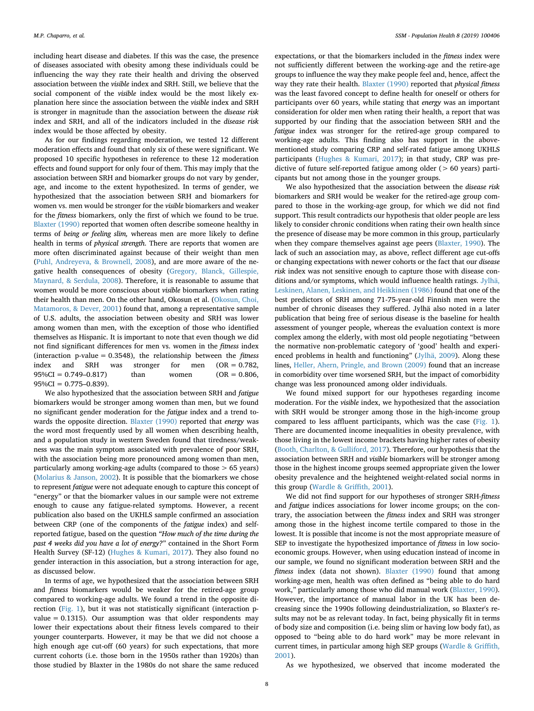including heart disease and diabetes. If this was the case, the presence of diseases associated with obesity among these individuals could be influencing the way they rate their health and driving the observed association between the *visible* index and SRH. Still, we believe that the social component of the *visible* index would be the most likely explanation here since the association between the *visible* index and SRH is stronger in magnitude than the association between the *disease risk* index and SRH, and all of the indicators included in the *disease risk* index would be those affected by obesity.

As for our findings regarding moderation, we tested 12 different moderation effects and found that only six of these were significant. We proposed 10 specific hypotheses in reference to these 12 moderation effects and found support for only four of them. This may imply that the association between SRH and biomarker groups do not vary by gender, age, and income to the extent hypothesized. In terms of gender, we hypothesized that the association between SRH and biomarkers for women vs. men would be stronger for the *visible* biomarkers and weaker for the *fitness* biomarkers, only the first of which we found to be true. [Blaxter \(1990\)](#page-9-13) reported that women often describe someone healthy in terms of *being or feeling slim,* whereas men are more likely to define health in terms of *physical strength*. There are reports that women are more often discriminated against because of their weight than men ([Puhl, Andreyeva, & Brownell, 2008\)](#page-9-29), and are more aware of the negative health consequences of obesity [\(Gregory, Blanck, Gillespie,](#page-9-30) [Maynard, & Serdula, 2008](#page-9-30)). Therefore, it is reasonable to assume that women would be more conscious about *visible* biomarkers when rating their health than men. On the other hand, Okosun et al. [\(Okosun, Choi,](#page-9-31) [Matamoros, & Dever, 2001\)](#page-9-31) found that, among a representative sample of U.S. adults, the association between obesity and SRH was lower among women than men, with the exception of those who identified themselves as Hispanic. It is important to note that even though we did not find significant differences for men vs. women in the *fitness* index (interaction p-value = 0.3548), the relationship between the *fitness* index and SRH was stronger for men  $(OR = 0.782, 95\% CI = 0.749-0.817)$  than women  $(OR = 0.806, 95\% CI = 0.749-0.817)$  $95\%CI = 0.749 - 0.817$  than women  $95\%CI = 0.775 - 0.839$ .

We also hypothesized that the association between SRH and *fatigue* biomarkers would be stronger among women than men, but we found no significant gender moderation for the *fatigue* index and a trend towards the opposite direction. [Blaxter \(1990\)](#page-9-13) reported that *energy* was the word most frequently used by all women when describing health, and a population study in western Sweden found that tiredness/weakness was the main symptom associated with prevalence of poor SRH, with the association being more pronounced among women than men, particularly among working-age adults (compared to those > 65 years) ([Molarius & Janson, 2002](#page-9-32)). It is possible that the biomarkers we chose to represent *fatigue* were not adequate enough to capture this concept of "energy" or that the biomarker values in our sample were not extreme enough to cause any fatigue-related symptoms. However, a recent publication also based on the UKHLS sample confirmed an association between CRP (one of the components of the *fatigue* index) and selfreported fatigue, based on the question *"How much of the time during the past 4 weeks did you have a lot of energy?*" contained in the Short Form Health Survey (SF-12) [\(Hughes & Kumari, 2017\)](#page-9-33). They also found no gender interaction in this association, but a strong interaction for age, as discussed below.

In terms of age, we hypothesized that the association between SRH and *fitness* biomarkers would be weaker for the retired-age group compared to working-age adults. We found a trend in the opposite direction ([Fig. 1\)](#page-8-1), but it was not statistically significant (interaction pvalue  $= 0.1315$ ). Our assumption was that older respondents may lower their expectations about their fitness levels compared to their younger counterparts. However, it may be that we did not choose a high enough age cut-off (60 years) for such expectations, that more current cohorts (i.e. those born in the 1950s rather than 1920s) than those studied by Blaxter in the 1980s do not share the same reduced

expectations, or that the biomarkers included in the *fitness* index were not sufficiently different between the working-age and the retire-age groups to influence the way they make people feel and, hence, affect the way they rate their health. [Blaxter \(1990\)](#page-9-13) reported that *physical fitness* was the least favored concept to define health for oneself or others for participants over 60 years, while stating that *energy* was an important consideration for older men when rating their health, a report that was supported by our finding that the association between SRH and the *fatigue* index was stronger for the retired-age group compared to working-age adults. This finding also has support in the abovementioned study comparing CRP and self-rated fatigue among UKHLS participants [\(Hughes & Kumari, 2017\)](#page-9-33); in that study, CRP was predictive of future self-reported fatigue among older  $($  > 60 years) participants but not among those in the younger groups.

We also hypothesized that the association between the *disease risk* biomarkers and SRH would be weaker for the retired-age group compared to those in the working-age group, for which we did not find support. This result contradicts our hypothesis that older people are less likely to consider chronic conditions when rating their own health since the presence of disease may be more common in this group, particularly when they compare themselves against age peers [\(Blaxter, 1990](#page-9-13)). The lack of such an association may, as above, reflect different age cut-offs or changing expectations with newer cohorts or the fact that our *disease risk* index was not sensitive enough to capture those with disease conditions and/or symptoms, which would influence health ratings. [Jylhä,](#page-9-34) [Leskinen, Alanen, Leskinen, and Heikkinen \(1986\)](#page-9-34) found that one of the best predictors of SRH among 71-75-year-old Finnish men were the number of chronic diseases they suffered. Jylhä also noted in a later publication that being free of serious disease is the baseline for health assessment of younger people, whereas the evaluation context is more complex among the elderly, with most old people negotiating "between the normative non-problematic category of 'good' health and experienced problems in health and functioning" ([Jylhä, 2009\)](#page-9-0). Along these lines, [Heller, Ahern, Pringle, and Brown \(2009\)](#page-9-35) found that an increase in comorbidity over time worsened SRH, but the impact of comorbidity change was less pronounced among older individuals.

We found mixed support for our hypotheses regarding income moderation. For the *visible* index, we hypothesized that the association with SRH would be stronger among those in the high-income group compared to less affluent participants, which was the case ([Fig. 1](#page-8-1)). There are documented income inequalities in obesity prevalence, with those living in the lowest income brackets having higher rates of obesity ([Booth, Charlton, & Gulliford, 2017](#page-9-36)). Therefore, our hypothesis that the association between SRH and *visible* biomarkers will be stronger among those in the highest income groups seemed appropriate given the lower obesity prevalence and the heightened weight-related social norms in this group [\(Wardle & Griffith, 2001](#page-9-37)).

We did not find support for our hypotheses of stronger SRH-*fitness* and *fatigue* indices associations for lower income groups; on the contrary, the association between the *fitness* index and SRH was stronger among those in the highest income tertile compared to those in the lowest. It is possible that income is not the most appropriate measure of SEP to investigate the hypothesized importance of *fitness* in low socioeconomic groups. However, when using education instead of income in our sample, we found no significant moderation between SRH and the *fitness* index (data not shown). [Blaxter \(1990\)](#page-9-13) found that among working-age men, health was often defined as "being able to do hard work," particularly among those who did manual work [\(Blaxter, 1990](#page-9-13)). However, the importance of manual labor in the UK has been decreasing since the 1990s following deindustrialization, so Blaxter's results may not be as relevant today. In fact, being physically fit in terms of body size and composition (i.e. being slim or having low body fat), as opposed to "being able to do hard work" may be more relevant in current times, in particular among high SEP groups ([Wardle & Griffith,](#page-9-37) [2001\)](#page-9-37).

As we hypothesized, we observed that income moderated the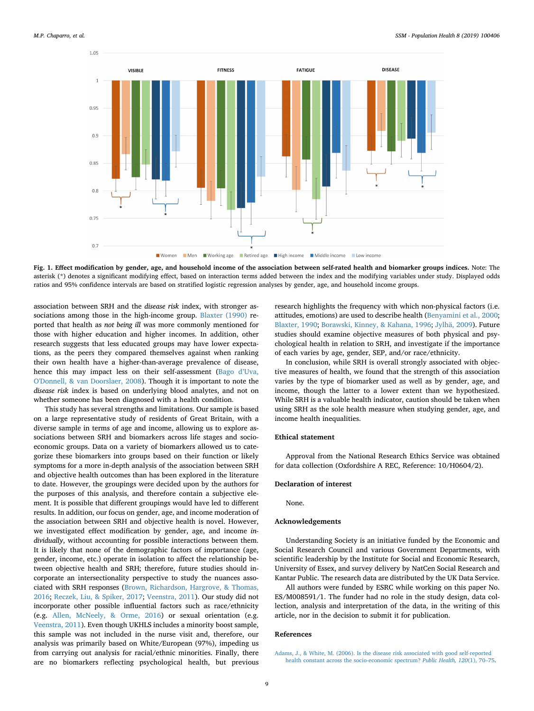<span id="page-8-1"></span>

**Fig. 1. Effect modification by gender, age, and household income of the association between self-rated health and biomarker groups indices.** Note: The asterisk (\*) denotes a significant modifying effect, based on interaction terms added between the index and the modifying variables under study. Displayed odds ratios and 95% confidence intervals are based on stratified logistic regression analyses by gender, age, and household income groups.

association between SRH and the *disease risk* index, with stronger associations among those in the high-income group. [Blaxter \(1990\)](#page-9-13) reported that health as *not being ill* was more commonly mentioned for those with higher education and higher incomes. In addition, other research suggests that less educated groups may have lower expectations, as the peers they compared themselves against when ranking their own health have a higher-than-average prevalence of disease, hence this may impact less on their self-assessment ([Bago d'Uva,](#page-9-38) [O'Donnell, & van Doorslaer, 2008\)](#page-9-38). Though it is important to note the *disease risk* index is based on underlying blood analytes, and not on whether someone has been diagnosed with a health condition.

This study has several strengths and limitations. Our sample is based on a large representative study of residents of Great Britain, with a diverse sample in terms of age and income, allowing us to explore associations between SRH and biomarkers across life stages and socioeconomic groups. Data on a variety of biomarkers allowed us to categorize these biomarkers into groups based on their function or likely symptoms for a more in-depth analysis of the association between SRH and objective health outcomes than has been explored in the literature to date. However, the groupings were decided upon by the authors for the purposes of this analysis, and therefore contain a subjective element. It is possible that different groupings would have led to different results. In addition, our focus on gender, age, and income moderation of the association between SRH and objective health is novel. However, we investigated effect modification by gender, age, and income *individually*, without accounting for possible interactions between them. It is likely that none of the demographic factors of importance (age, gender, income, etc.) operate in isolation to affect the relationship between objective health and SRH; therefore, future studies should incorporate an intersectionality perspective to study the nuances associated with SRH responses ([Brown, Richardson, Hargrove, & Thomas,](#page-9-39) [2016;](#page-9-39) [Reczek, Liu, & Spiker, 2017](#page-9-40); [Veenstra, 2011](#page-9-41)). Our study did not incorporate other possible influential factors such as race/ethnicity (e.g. [Allen, McNeely, & Orme, 2016\)](#page-9-42) or sexual orientation (e.g. [Veenstra, 2011](#page-9-41)). Even though UKHLS includes a minority boost sample, this sample was not included in the nurse visit and, therefore, our analysis was primarily based on White/European (97%), impeding us from carrying out analysis for racial/ethnic minorities. Finally, there are no biomarkers reflecting psychological health, but previous research highlights the frequency with which non-physical factors (i.e. attitudes, emotions) are used to describe health ([Benyamini et al., 2000](#page-9-9); [Blaxter, 1990](#page-9-13); [Borawski, Kinney, & Kahana, 1996](#page-9-43); [Jylhä, 2009](#page-9-0)). Future studies should examine objective measures of both physical and psychological health in relation to SRH, and investigate if the importance of each varies by age, gender, SEP, and/or race/ethnicity.

In conclusion, while SRH is overall strongly associated with objective measures of health, we found that the strength of this association varies by the type of biomarker used as well as by gender, age, and income, though the latter to a lower extent than we hypothesized. While SRH is a valuable health indicator, caution should be taken when using SRH as the sole health measure when studying gender, age, and income health inequalities.

## **Ethical statement**

Approval from the National Research Ethics Service was obtained for data collection (Oxfordshire A REC, Reference: 10/H0604/2).

## **Declaration of interest**

None.

#### **Acknowledgements**

Understanding Society is an initiative funded by the Economic and Social Research Council and various Government Departments, with scientific leadership by the Institute for Social and Economic Research, University of Essex, and survey delivery by NatCen Social Research and Kantar Public. The research data are distributed by the UK Data Service.

All authors were funded by ESRC while working on this paper No. ES/M008591/1. The funder had no role in the study design, data collection, analysis and interpretation of the data, in the writing of this article, nor in the decision to submit it for publication.

#### **References**

<span id="page-8-0"></span>[Adams, J., & White, M. \(2006\). Is the disease risk associated with good self-reported](http://refhub.elsevier.com/S2352-8273(18)30331-8/sref1) [health constant across the socio-economic spectrum?](http://refhub.elsevier.com/S2352-8273(18)30331-8/sref1) *Public Health, 120*(1), 70–75.